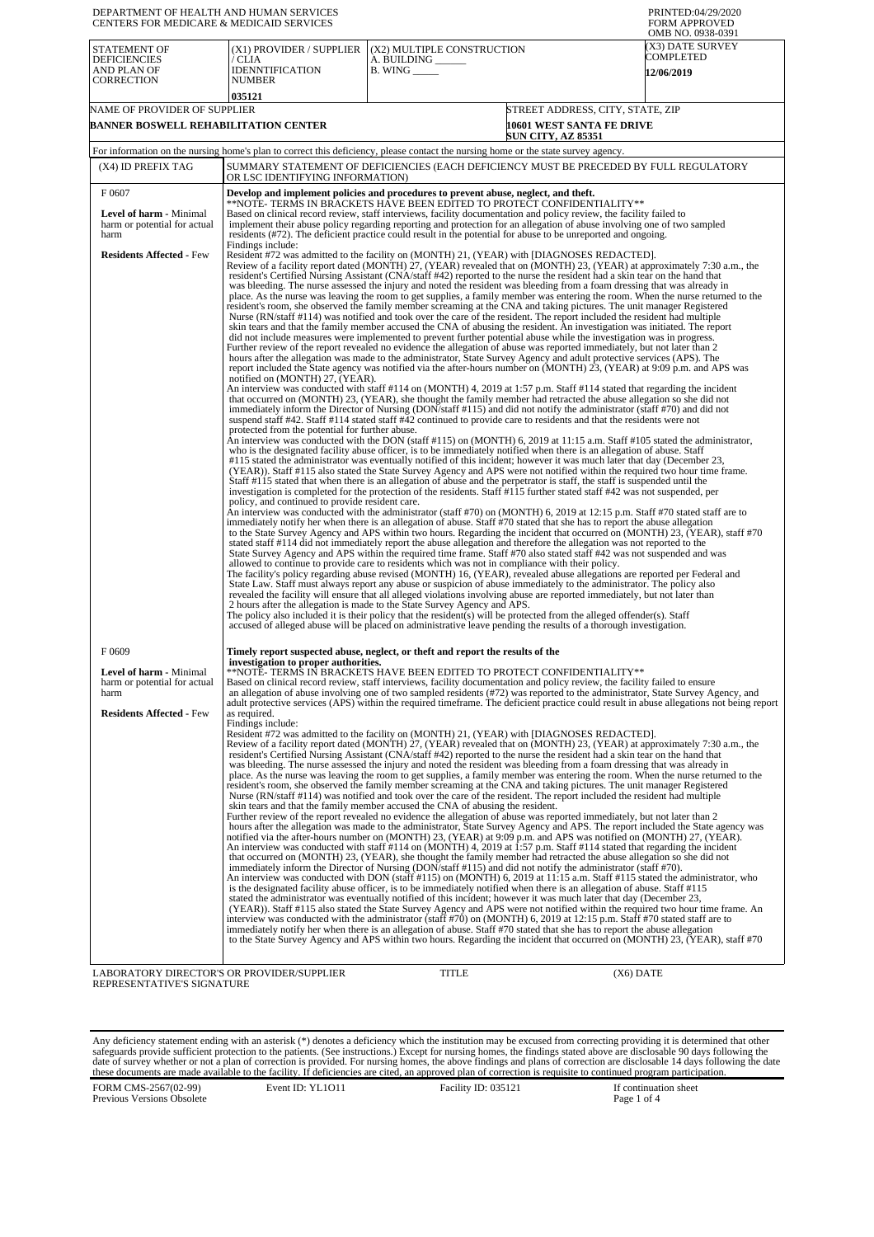| DEPARTMENT OF HEALTH AND HUMAN SERVICES<br>CENTERS FOR MEDICARE & MEDICAID SERVICES                |                                                                                                                                                                                                                                                                                                                                                                                                                                                                 |                                                                                                                                                                                                                                                                                                                                                                                                                                                                                                                                                                                                                                                                                                                                                                                                                                                                                                                                                                                                                                                                                                                                                                                                                                                                                                                                                                                                                                                                                                                                                                                                                                                                                                                                                                                                                                                                                                                                                                                                                                                                                                                                                                                                                                                                                                                                                                                                                                                                                                                                                                                                                                                                                                                                                                                                                                                                                                                                                                                                                                                                                                                                                                                                                                                                                                                                                                                                                                                                                                                                                                                                                                                                                                                                                                                                                                                                                                                                                                                                                                                                                                                                                                                                                                                                        | PRINTED:04/29/2020<br><b>FORM APPROVED</b><br>OMB NO. 0938-0391 |  |  |
|----------------------------------------------------------------------------------------------------|-----------------------------------------------------------------------------------------------------------------------------------------------------------------------------------------------------------------------------------------------------------------------------------------------------------------------------------------------------------------------------------------------------------------------------------------------------------------|------------------------------------------------------------------------------------------------------------------------------------------------------------------------------------------------------------------------------------------------------------------------------------------------------------------------------------------------------------------------------------------------------------------------------------------------------------------------------------------------------------------------------------------------------------------------------------------------------------------------------------------------------------------------------------------------------------------------------------------------------------------------------------------------------------------------------------------------------------------------------------------------------------------------------------------------------------------------------------------------------------------------------------------------------------------------------------------------------------------------------------------------------------------------------------------------------------------------------------------------------------------------------------------------------------------------------------------------------------------------------------------------------------------------------------------------------------------------------------------------------------------------------------------------------------------------------------------------------------------------------------------------------------------------------------------------------------------------------------------------------------------------------------------------------------------------------------------------------------------------------------------------------------------------------------------------------------------------------------------------------------------------------------------------------------------------------------------------------------------------------------------------------------------------------------------------------------------------------------------------------------------------------------------------------------------------------------------------------------------------------------------------------------------------------------------------------------------------------------------------------------------------------------------------------------------------------------------------------------------------------------------------------------------------------------------------------------------------------------------------------------------------------------------------------------------------------------------------------------------------------------------------------------------------------------------------------------------------------------------------------------------------------------------------------------------------------------------------------------------------------------------------------------------------------------------------------------------------------------------------------------------------------------------------------------------------------------------------------------------------------------------------------------------------------------------------------------------------------------------------------------------------------------------------------------------------------------------------------------------------------------------------------------------------------------------------------------------------------------------------------------------------------------------------------------------------------------------------------------------------------------------------------------------------------------------------------------------------------------------------------------------------------------------------------------------------------------------------------------------------------------------------------------------------------------------------------------------------------------------------------------------------|-----------------------------------------------------------------|--|--|
| <b>STATEMENT OF</b><br><b>DEFICIENCIES</b><br>AND PLAN OF<br><b>CORRECTION</b>                     | (X1) PROVIDER / SUPPLIER<br>/ CLIA<br><b>IDENNTIFICATION</b><br>NUMBER<br>035121                                                                                                                                                                                                                                                                                                                                                                                | (X2) MULTIPLE CONSTRUCTION<br>A. BUILDING _<br>B. WING $\_\_\_\_\_\_\$                                                                                                                                                                                                                                                                                                                                                                                                                                                                                                                                                                                                                                                                                                                                                                                                                                                                                                                                                                                                                                                                                                                                                                                                                                                                                                                                                                                                                                                                                                                                                                                                                                                                                                                                                                                                                                                                                                                                                                                                                                                                                                                                                                                                                                                                                                                                                                                                                                                                                                                                                                                                                                                                                                                                                                                                                                                                                                                                                                                                                                                                                                                                                                                                                                                                                                                                                                                                                                                                                                                                                                                                                                                                                                                                                                                                                                                                                                                                                                                                                                                                                                                                                                                                 | (X3) DATE SURVEY<br><b>COMPLETED</b><br><b>12/06/2019</b>       |  |  |
| NAME OF PROVIDER OF SUPPLIER                                                                       |                                                                                                                                                                                                                                                                                                                                                                                                                                                                 |                                                                                                                                                                                                                                                                                                                                                                                                                                                                                                                                                                                                                                                                                                                                                                                                                                                                                                                                                                                                                                                                                                                                                                                                                                                                                                                                                                                                                                                                                                                                                                                                                                                                                                                                                                                                                                                                                                                                                                                                                                                                                                                                                                                                                                                                                                                                                                                                                                                                                                                                                                                                                                                                                                                                                                                                                                                                                                                                                                                                                                                                                                                                                                                                                                                                                                                                                                                                                                                                                                                                                                                                                                                                                                                                                                                                                                                                                                                                                                                                                                                                                                                                                                                                                                                                        | STREET ADDRESS, CITY, STATE, ZIP                                |  |  |
| BANNER BOSWELL REHABILITATION CENTER                                                               |                                                                                                                                                                                                                                                                                                                                                                                                                                                                 | 10601 WEST SANTA FE DRIVE<br><b>SUN CITY, AZ 85351</b>                                                                                                                                                                                                                                                                                                                                                                                                                                                                                                                                                                                                                                                                                                                                                                                                                                                                                                                                                                                                                                                                                                                                                                                                                                                                                                                                                                                                                                                                                                                                                                                                                                                                                                                                                                                                                                                                                                                                                                                                                                                                                                                                                                                                                                                                                                                                                                                                                                                                                                                                                                                                                                                                                                                                                                                                                                                                                                                                                                                                                                                                                                                                                                                                                                                                                                                                                                                                                                                                                                                                                                                                                                                                                                                                                                                                                                                                                                                                                                                                                                                                                                                                                                                                                 |                                                                 |  |  |
|                                                                                                    |                                                                                                                                                                                                                                                                                                                                                                                                                                                                 | For information on the nursing home's plan to correct this deficiency, please contact the nursing home or the state survey agency.                                                                                                                                                                                                                                                                                                                                                                                                                                                                                                                                                                                                                                                                                                                                                                                                                                                                                                                                                                                                                                                                                                                                                                                                                                                                                                                                                                                                                                                                                                                                                                                                                                                                                                                                                                                                                                                                                                                                                                                                                                                                                                                                                                                                                                                                                                                                                                                                                                                                                                                                                                                                                                                                                                                                                                                                                                                                                                                                                                                                                                                                                                                                                                                                                                                                                                                                                                                                                                                                                                                                                                                                                                                                                                                                                                                                                                                                                                                                                                                                                                                                                                                                     |                                                                 |  |  |
| (X4) ID PREFIX TAG                                                                                 | OR LSC IDENTIFYING INFORMATION)                                                                                                                                                                                                                                                                                                                                                                                                                                 | SUMMARY STATEMENT OF DEFICIENCIES (EACH DEFICIENCY MUST BE PRECEDED BY FULL REGULATORY                                                                                                                                                                                                                                                                                                                                                                                                                                                                                                                                                                                                                                                                                                                                                                                                                                                                                                                                                                                                                                                                                                                                                                                                                                                                                                                                                                                                                                                                                                                                                                                                                                                                                                                                                                                                                                                                                                                                                                                                                                                                                                                                                                                                                                                                                                                                                                                                                                                                                                                                                                                                                                                                                                                                                                                                                                                                                                                                                                                                                                                                                                                                                                                                                                                                                                                                                                                                                                                                                                                                                                                                                                                                                                                                                                                                                                                                                                                                                                                                                                                                                                                                                                                 |                                                                 |  |  |
| F0607                                                                                              |                                                                                                                                                                                                                                                                                                                                                                                                                                                                 | Develop and implement policies and procedures to prevent abuse, neglect, and theft.                                                                                                                                                                                                                                                                                                                                                                                                                                                                                                                                                                                                                                                                                                                                                                                                                                                                                                                                                                                                                                                                                                                                                                                                                                                                                                                                                                                                                                                                                                                                                                                                                                                                                                                                                                                                                                                                                                                                                                                                                                                                                                                                                                                                                                                                                                                                                                                                                                                                                                                                                                                                                                                                                                                                                                                                                                                                                                                                                                                                                                                                                                                                                                                                                                                                                                                                                                                                                                                                                                                                                                                                                                                                                                                                                                                                                                                                                                                                                                                                                                                                                                                                                                                    |                                                                 |  |  |
| <b>Level of harm - Minimal</b><br>harm or potential for actual<br>harm                             | **NOTE- TERMS IN BRACKETS HAVE BEEN EDITED TO PROTECT CONFIDENTIALITY**<br>Based on clinical record review, staff interviews, facility documentation and policy review, the facility failed to<br>implement their abuse policy regarding reporting and protection for an allegation of abuse involving one of two sampled<br>residents (#72). The deficient practice could result in the potential for abuse to be unreported and ongoing.<br>Findings include: |                                                                                                                                                                                                                                                                                                                                                                                                                                                                                                                                                                                                                                                                                                                                                                                                                                                                                                                                                                                                                                                                                                                                                                                                                                                                                                                                                                                                                                                                                                                                                                                                                                                                                                                                                                                                                                                                                                                                                                                                                                                                                                                                                                                                                                                                                                                                                                                                                                                                                                                                                                                                                                                                                                                                                                                                                                                                                                                                                                                                                                                                                                                                                                                                                                                                                                                                                                                                                                                                                                                                                                                                                                                                                                                                                                                                                                                                                                                                                                                                                                                                                                                                                                                                                                                                        |                                                                 |  |  |
| <b>Residents Affected - Few</b>                                                                    | notified on (MONTH) 27, (YEAR).<br>protected from the potential for further abuse.<br>policy, and continued to provide resident care.                                                                                                                                                                                                                                                                                                                           | Resident #72 was admitted to the facility on (MONTH) 21, (YEAR) with [DIAGNOSES REDACTED].<br>Review of a facility report dated (MONTH) 27, (YEAR) revealed that on (MONTH) 23, (YEAR) at approximately 7:30 a.m., the<br>resident's Certified Nursing Assistant (CNA/staff #42) reported to the nurse the resident had a skin tear on the hand that<br>was bleeding. The nurse assessed the injury and noted the resident was bleeding from a foam dressing that was already in<br>place. As the nurse was leaving the room to get supplies, a family member was entering the room. When the nurse returned to the<br>resident's room, she observed the family member screaming at the CNA and taking pictures. The unit manager Registered<br>Nurse (RN/staff #114) was notified and took over the care of the resident. The report included the resident had multiple<br>skin tears and that the family member accused the CNA of abusing the resident. An investigation was initiated. The report<br>did not include measures were implemented to prevent further potential abuse while the investigation was in progress.<br>Further review of the report revealed no evidence the allegation of abuse was reported immediately, but not later than 2<br>hours after the allegation was made to the administrator, State Survey Agency and adult protective services (APS). The<br>report included the State agency was notified via the after-hours number on (MONTH) 23, (YEAR) at 9:09 p.m. and APS was<br>An interview was conducted with staff #114 on (MONTH) 4, 2019 at 1:57 p.m. Staff #114 stated that regarding the incident<br>that occurred on (MONTH) 23, (YEAR), she thought the family member had retracted the abuse allegation so she did not<br>immediately inform the Director of Nursing (DON/staff #115) and did not notify the administrator (staff #70) and did not<br>suspend staff #42. Staff #114 stated staff #42 continued to provide care to residents and that the residents were not<br>An interview was conducted with the DON (staff #115) on (MONTH) 6, 2019 at 11:15 a.m. Staff #105 stated the administrator,<br>who is the designated facility abuse officer, is to be immediately notified when there is an allegation of abuse. Staff<br>#115 stated the administrator was eventually notified of this incident; however it was much later that day (December 23,<br>(YEAR)). Staff #115 also stated the State Survey Agency and APS were not notified within the required two hour time frame.<br>Staff #115 stated that when there is an allegation of abuse and the perpetrator is staff, the staff is suspended until the<br>investigation is completed for the protection of the residents. Staff #115 further stated staff #42 was not suspended, per<br>An interview was conducted with the administrator (staff #70) on (MONTH) 6, 2019 at 12:15 p.m. Staff #70 stated staff are to<br>immediately notify her when there is an allegation of abuse. Staff #70 stated that she has to report the abuse allegation<br>to the State Survey Agency and APS within two hours. Regarding the incident that occurred on (MONTH) 23, (YEAR), staff #70<br>stated staff #114 did not immediately report the abuse allegation and therefore the allegation was not reported to the<br>State Survey Agency and APS within the required time frame. Staff #70 also stated staff #42 was not suspended and was<br>allowed to continue to provide care to residents which was not in compliance with their policy.<br>The facility's policy regarding abuse revised (MONTH) 16, (YEAR), revealed abuse allegations are reported per Federal and<br>State Law. Staff must always report any abuse or suspicion of abuse immediately to the administrator. The policy also<br>revealed the facility will ensure that all alleged violations involving abuse are reported immediately, but not later than<br>2 hours after the allegation is made to the State Survey Agency and APS.<br>The policy also included it is their policy that the resident(s) will be protected from the alleged offender(s). Staff<br>accused of alleged abuse will be placed on administrative leave pending the results of a thorough investigation. |                                                                 |  |  |
| F0609                                                                                              |                                                                                                                                                                                                                                                                                                                                                                                                                                                                 | Timely report suspected abuse, neglect, or theft and report the results of the                                                                                                                                                                                                                                                                                                                                                                                                                                                                                                                                                                                                                                                                                                                                                                                                                                                                                                                                                                                                                                                                                                                                                                                                                                                                                                                                                                                                                                                                                                                                                                                                                                                                                                                                                                                                                                                                                                                                                                                                                                                                                                                                                                                                                                                                                                                                                                                                                                                                                                                                                                                                                                                                                                                                                                                                                                                                                                                                                                                                                                                                                                                                                                                                                                                                                                                                                                                                                                                                                                                                                                                                                                                                                                                                                                                                                                                                                                                                                                                                                                                                                                                                                                                         |                                                                 |  |  |
| Level of harm - Minimal<br>harm or potential for actual<br>harm<br><b>Residents Affected - Few</b> | investigation to proper authorities.<br>as required.<br>Findings include:                                                                                                                                                                                                                                                                                                                                                                                       | **NOTE- TERMS IN BRACKETS HAVE BEEN EDITED TO PROTECT CONFIDENTIALITY**<br>Based on clinical record review, staff interviews, facility documentation and policy review, the facility failed to ensure<br>an allegation of abuse involving one of two sampled residents (#72) was reported to the administrator, State Survey Agency, and<br>adult protective services (APS) within the required timeframe. The deficient practice could result in abuse allegations not being report<br>Resident #72 was admitted to the facility on (MONTH) 21, (YEAR) with [DIAGNOSES REDACTED].<br>Review of a facility report dated (MONTH) 27, (YEAR) revealed that on (MONTH) 23, (YEAR) at approximately 7:30 a.m., the<br>resident's Certified Nursing Assistant (CNA/staff #42) reported to the nurse the resident had a skin tear on the hand that<br>was bleeding. The nurse assessed the injury and noted the resident was bleeding from a foam dressing that was already in<br>place. As the nurse was leaving the room to get supplies, a family member was entering the room. When the nurse returned to the<br>resident's room, she observed the family member screaming at the CNA and taking pictures. The unit manager Registered<br>Nurse (RN/staff #114) was notified and took over the care of the resident. The report included the resident had multiple<br>skin tears and that the family member accused the CNA of abusing the resident.                                                                                                                                                                                                                                                                                                                                                                                                                                                                                                                                                                                                                                                                                                                                                                                                                                                                                                                                                                                                                                                                                                                                                                                                                                                                                                                                                                                                                                                                                                                                                                                                                                                                                                                                                                                                                                                                                                                                                                                                                                                                                                                                                                                                                                                                                                                                                                                                                                                                                                                                                                                                                                                                                                                                                                                                                     |                                                                 |  |  |
|                                                                                                    |                                                                                                                                                                                                                                                                                                                                                                                                                                                                 | Further review of the report revealed no evidence the allegation of abuse was reported immediately, but not later than 2<br>hours after the allegation was made to the administrator, State Survey Agency and APS. The report included the State agency was<br>notified via the after-hours number on (MONTH) 23, (YEAR) at 9:09 p.m. and APS was notified on (MONTH) 27, (YEAR).<br>An interview was conducted with staff #114 on (MONTH) 4, 2019 at 1:57 p.m. Staff #114 stated that regarding the incident<br>that occurred on (MONTH) 23, (YEAR), she thought the family member had retracted the abuse allegation so she did not<br>immediately inform the Director of Nursing (DON/staff #115) and did not notify the administrator (staff #70).<br>An interview was conducted with DON (staff #115) on (MONTH) 6, 2019 at 11:15 a.m. Staff #115 stated the administrator, who<br>is the designated facility abuse officer, is to be immediately notified when there is an allegation of abuse. Staff #115<br>stated the administrator was eventually notified of this incident; however it was much later that day (December 23,<br>(YEAR)). Staff #115 also stated the State Survey Agency and APS were not notified within the required two hour time frame. An<br>interview was conducted with the administrator (staff #70) on (MONTH) 6, 2019 at 12:15 p.m. Staff #70 stated staff are to<br>immediately notify her when there is an allegation of abuse. Staff #70 stated that she has to report the abuse allegation<br>to the State Survey Agency and APS within two hours. Regarding the incident that occurred on (MONTH) 23, (YEAR), staff #70                                                                                                                                                                                                                                                                                                                                                                                                                                                                                                                                                                                                                                                                                                                                                                                                                                                                                                                                                                                                                                                                                                                                                                                                                                                                                                                                                                                                                                                                                                                                                                                                                                                                                                                                                                                                                                                                                                                                                                                                                                                                                                                                                                                                                                                                                                                                                                                                                                                                                                                                                                                                       |                                                                 |  |  |
| LABORATORY DIRECTOR'S OR PROVIDER/SUPPLIER<br>REPRESENTATIVE'S SIGNATURE                           |                                                                                                                                                                                                                                                                                                                                                                                                                                                                 | TITLE                                                                                                                                                                                                                                                                                                                                                                                                                                                                                                                                                                                                                                                                                                                                                                                                                                                                                                                                                                                                                                                                                                                                                                                                                                                                                                                                                                                                                                                                                                                                                                                                                                                                                                                                                                                                                                                                                                                                                                                                                                                                                                                                                                                                                                                                                                                                                                                                                                                                                                                                                                                                                                                                                                                                                                                                                                                                                                                                                                                                                                                                                                                                                                                                                                                                                                                                                                                                                                                                                                                                                                                                                                                                                                                                                                                                                                                                                                                                                                                                                                                                                                                                                                                                                                                                  | $(X6)$ DATE                                                     |  |  |

Any deficiency statement ending with an asterisk (\*) denotes a deficiency which the institution may be excused from correcting providing it is determined that other safeguards provide sufficient protection to the patients.

FORM CMS-2567(02-99) Previous Versions Obsolete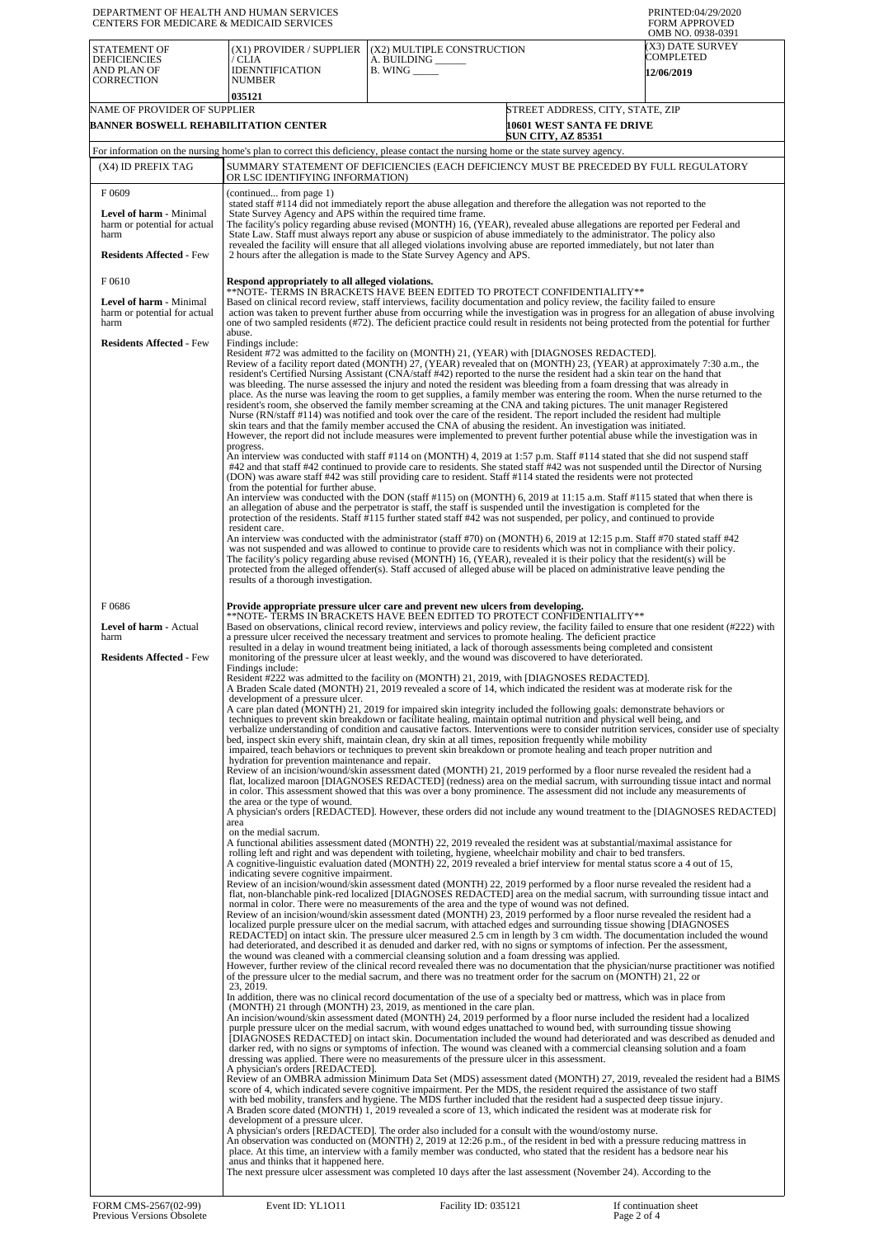| DEPARTMENT OF HEALTH AND HUMAN SERVICES<br>CENTERS FOR MEDICARE & MEDICAID SERVICES                         | PRINTED:04/29/2020<br><b>FORM APPROVED</b><br>OMB NO. 0938-0391                                                                                                                                                                                                                                                                                                                                                                                                                                                                                                                                                                                                                                                                                                                                                                                                                                                                                                                                                       |                                                                                                                                                                                                                                                                                                                                                                                                                                                                                                                                                                                                                                                                                                                                                                                                                                                                                                                                                                                                                                                                                                                                                                                                                                                                                                                                                                                                                                                                                                                           |                                                                                                                                                                                                                                                    |  |  |
|-------------------------------------------------------------------------------------------------------------|-----------------------------------------------------------------------------------------------------------------------------------------------------------------------------------------------------------------------------------------------------------------------------------------------------------------------------------------------------------------------------------------------------------------------------------------------------------------------------------------------------------------------------------------------------------------------------------------------------------------------------------------------------------------------------------------------------------------------------------------------------------------------------------------------------------------------------------------------------------------------------------------------------------------------------------------------------------------------------------------------------------------------|---------------------------------------------------------------------------------------------------------------------------------------------------------------------------------------------------------------------------------------------------------------------------------------------------------------------------------------------------------------------------------------------------------------------------------------------------------------------------------------------------------------------------------------------------------------------------------------------------------------------------------------------------------------------------------------------------------------------------------------------------------------------------------------------------------------------------------------------------------------------------------------------------------------------------------------------------------------------------------------------------------------------------------------------------------------------------------------------------------------------------------------------------------------------------------------------------------------------------------------------------------------------------------------------------------------------------------------------------------------------------------------------------------------------------------------------------------------------------------------------------------------------------|----------------------------------------------------------------------------------------------------------------------------------------------------------------------------------------------------------------------------------------------------|--|--|
| <b>STATEMENT OF</b><br><b>DEFICIENCIES</b><br>AND PLAN OF<br><b>CORRECTION</b>                              | (X1) PROVIDER / SUPPLIER<br>/ CLIA<br><b>IDENNTIFICATION</b><br><b>NUMBER</b>                                                                                                                                                                                                                                                                                                                                                                                                                                                                                                                                                                                                                                                                                                                                                                                                                                                                                                                                         | (X2) MULTIPLE CONSTRUCTION<br>A. BUILDING _<br>$B.$ WING $\_\_\_\_\_\_\_\$                                                                                                                                                                                                                                                                                                                                                                                                                                                                                                                                                                                                                                                                                                                                                                                                                                                                                                                                                                                                                                                                                                                                                                                                                                                                                                                                                                                                                                                | (X3) DATE SURVEY<br>COMPLETED<br><b>12/06/2019</b>                                                                                                                                                                                                 |  |  |
|                                                                                                             | 035121                                                                                                                                                                                                                                                                                                                                                                                                                                                                                                                                                                                                                                                                                                                                                                                                                                                                                                                                                                                                                |                                                                                                                                                                                                                                                                                                                                                                                                                                                                                                                                                                                                                                                                                                                                                                                                                                                                                                                                                                                                                                                                                                                                                                                                                                                                                                                                                                                                                                                                                                                           |                                                                                                                                                                                                                                                    |  |  |
| NAME OF PROVIDER OF SUPPLIER<br>BANNER BOSWELL REHABILITATION CENTER                                        |                                                                                                                                                                                                                                                                                                                                                                                                                                                                                                                                                                                                                                                                                                                                                                                                                                                                                                                                                                                                                       | STREET ADDRESS, CITY, STATE, ZIP<br>10601 WEST SANTA FE DRIVE<br><b>SUN CITY, AZ 85351</b>                                                                                                                                                                                                                                                                                                                                                                                                                                                                                                                                                                                                                                                                                                                                                                                                                                                                                                                                                                                                                                                                                                                                                                                                                                                                                                                                                                                                                                |                                                                                                                                                                                                                                                    |  |  |
|                                                                                                             |                                                                                                                                                                                                                                                                                                                                                                                                                                                                                                                                                                                                                                                                                                                                                                                                                                                                                                                                                                                                                       | For information on the nursing home's plan to correct this deficiency, please contact the nursing home or the state survey agency.                                                                                                                                                                                                                                                                                                                                                                                                                                                                                                                                                                                                                                                                                                                                                                                                                                                                                                                                                                                                                                                                                                                                                                                                                                                                                                                                                                                        |                                                                                                                                                                                                                                                    |  |  |
| (X4) ID PREFIX TAG                                                                                          |                                                                                                                                                                                                                                                                                                                                                                                                                                                                                                                                                                                                                                                                                                                                                                                                                                                                                                                                                                                                                       | SUMMARY STATEMENT OF DEFICIENCIES (EACH DEFICIENCY MUST BE PRECEDED BY FULL REGULATORY                                                                                                                                                                                                                                                                                                                                                                                                                                                                                                                                                                                                                                                                                                                                                                                                                                                                                                                                                                                                                                                                                                                                                                                                                                                                                                                                                                                                                                    |                                                                                                                                                                                                                                                    |  |  |
|                                                                                                             | OR LSC IDENTIFYING INFORMATION)                                                                                                                                                                                                                                                                                                                                                                                                                                                                                                                                                                                                                                                                                                                                                                                                                                                                                                                                                                                       |                                                                                                                                                                                                                                                                                                                                                                                                                                                                                                                                                                                                                                                                                                                                                                                                                                                                                                                                                                                                                                                                                                                                                                                                                                                                                                                                                                                                                                                                                                                           |                                                                                                                                                                                                                                                    |  |  |
| F0609<br>Level of harm - Minimal<br>harm or potential for actual<br>harm<br><b>Residents Affected - Few</b> | (continued from page 1)<br>stated staff #114 did not immediately report the abuse allegation and therefore the allegation was not reported to the<br>State Survey Agency and APS within the required time frame.<br>The facility's policy regarding abuse revised (MONTH) 16, (YEAR), revealed abuse allegations are reported per Federal and<br>State Law. Staff must always report any abuse or suspicion of abuse immediately to the administrator. The policy also<br>revealed the facility will ensure that all alleged violations involving abuse are reported immediately, but not later than<br>2 hours after the allegation is made to the State Survey Agency and APS.                                                                                                                                                                                                                                                                                                                                      |                                                                                                                                                                                                                                                                                                                                                                                                                                                                                                                                                                                                                                                                                                                                                                                                                                                                                                                                                                                                                                                                                                                                                                                                                                                                                                                                                                                                                                                                                                                           |                                                                                                                                                                                                                                                    |  |  |
| F0610                                                                                                       | Respond appropriately to all alleged violations.                                                                                                                                                                                                                                                                                                                                                                                                                                                                                                                                                                                                                                                                                                                                                                                                                                                                                                                                                                      |                                                                                                                                                                                                                                                                                                                                                                                                                                                                                                                                                                                                                                                                                                                                                                                                                                                                                                                                                                                                                                                                                                                                                                                                                                                                                                                                                                                                                                                                                                                           |                                                                                                                                                                                                                                                    |  |  |
| Level of harm - Minimal<br>harm or potential for actual<br>harm                                             | **NOTE- TERMS IN BRACKETS HAVE BEEN EDITED TO PROTECT CONFIDENTIALITY**<br>Based on clinical record review, staff interviews, facility documentation and policy review, the facility failed to ensure<br>action was taken to prevent further abuse from occurring while the investigation was in progress for an allegation of abuse involving<br>one of two sampled residents (#72). The deficient practice could result in residents not being protected from the potential for further<br>abuse.                                                                                                                                                                                                                                                                                                                                                                                                                                                                                                                   |                                                                                                                                                                                                                                                                                                                                                                                                                                                                                                                                                                                                                                                                                                                                                                                                                                                                                                                                                                                                                                                                                                                                                                                                                                                                                                                                                                                                                                                                                                                           |                                                                                                                                                                                                                                                    |  |  |
| <b>Residents Affected - Few</b>                                                                             | Findings include:<br>progress.<br>from the potential for further abuse.                                                                                                                                                                                                                                                                                                                                                                                                                                                                                                                                                                                                                                                                                                                                                                                                                                                                                                                                               | Resident #72 was admitted to the facility on (MONTH) 21, (YEAR) with [DIAGNOSES REDACTED].<br>Review of a facility report dated (MONTH) 27, (YEAR) revealed that on (MONTH) 23, (YEAR) at approximately 7:30 a.m., the<br>resident's Certified Nursing Assistant (CNA/staff #42) reported to the nurse the resident had a skin tear on the hand that<br>was bleeding. The nurse assessed the injury and noted the resident was bleeding from a foam dressing that was already in<br>place. As the nurse was leaving the room to get supplies, a family member was entering the room. When the nurse returned to the<br>resident's room, she observed the family member screaming at the CNA and taking pictures. The unit manager Registered<br>Nurse (RN/staff #114) was notified and took over the care of the resident. The report included the resident had multiple<br>skin tears and that the family member accused the CNA of abusing the resident. An investigation was initiated.<br>However, the report did not include measures were implemented to prevent further potential abuse while the investigation was in<br>An interview was conducted with staff #114 on (MONTH) 4, 2019 at 1:57 p.m. Staff #114 stated that she did not suspend staff<br>#42 and that staff #42 continued to provide care to residents. She stated staff #42 was not suspended until the Director of Nursing<br>(DON) was aware staff #42 was still providing care to resident. Staff #114 stated the residents were not protected |                                                                                                                                                                                                                                                    |  |  |
|                                                                                                             |                                                                                                                                                                                                                                                                                                                                                                                                                                                                                                                                                                                                                                                                                                                                                                                                                                                                                                                                                                                                                       | An interview was conducted with the DON (staff #115) on (MONTH) 6, 2019 at 11:15 a.m. Staff #115 stated that when there is<br>an allegation of abuse and the perpetrator is staff, the staff is suspended until the investigation is completed for the                                                                                                                                                                                                                                                                                                                                                                                                                                                                                                                                                                                                                                                                                                                                                                                                                                                                                                                                                                                                                                                                                                                                                                                                                                                                    |                                                                                                                                                                                                                                                    |  |  |
|                                                                                                             | resident care.<br>results of a thorough investigation.                                                                                                                                                                                                                                                                                                                                                                                                                                                                                                                                                                                                                                                                                                                                                                                                                                                                                                                                                                | protection of the residents. Staff #115 further stated staff #42 was not suspended, per policy, and continued to provide<br>An interview was conducted with the administrator (staff #70) on (MONTH) 6, 2019 at 12:15 p.m. Staff #70 stated staff #42<br>was not suspended and was allowed to continue to provide care to residents which was not in compliance with their policy.<br>The facility's policy regarding abuse revised (MONTH) 16, (YEAR), revealed it is their policy that the resident(s) will be<br>protected from the alleged offender(s). Staff accused of alleged abuse will be placed on administrative leave pending the                                                                                                                                                                                                                                                                                                                                                                                                                                                                                                                                                                                                                                                                                                                                                                                                                                                                             |                                                                                                                                                                                                                                                    |  |  |
| F0686                                                                                                       |                                                                                                                                                                                                                                                                                                                                                                                                                                                                                                                                                                                                                                                                                                                                                                                                                                                                                                                                                                                                                       | Provide appropriate pressure ulcer care and prevent new ulcers from developing.                                                                                                                                                                                                                                                                                                                                                                                                                                                                                                                                                                                                                                                                                                                                                                                                                                                                                                                                                                                                                                                                                                                                                                                                                                                                                                                                                                                                                                           |                                                                                                                                                                                                                                                    |  |  |
| Level of harm - Actual<br>harm<br><b>Residents Affected - Few</b>                                           | **NOTE- TERMS IN BRACKETS HAVE BEEN EDITED TO PROTECT CONFIDENTIALITY**<br>Based on observations, clinical record review, interviews and policy review, the facility failed to ensure that one resident (#222) with<br>a pressure ulcer received the necessary treatment and services to promote healing. The deficient practice<br>resulted in a delay in wound treatment being initiated, a lack of thorough assessments being completed and consistent<br>monitoring of the pressure ulcer at least weekly, and the wound was discovered to have deteriorated.                                                                                                                                                                                                                                                                                                                                                                                                                                                     |                                                                                                                                                                                                                                                                                                                                                                                                                                                                                                                                                                                                                                                                                                                                                                                                                                                                                                                                                                                                                                                                                                                                                                                                                                                                                                                                                                                                                                                                                                                           |                                                                                                                                                                                                                                                    |  |  |
|                                                                                                             | Findings include:<br>Resident #222 was admitted to the facility on (MONTH) 21, 2019, with [DIAGNOSES REDACTED].<br>A Braden Scale dated (MONTH) 21, 2019 revealed a score of 14, which indicated the resident was at moderate risk for the<br>development of a pressure ulcer.                                                                                                                                                                                                                                                                                                                                                                                                                                                                                                                                                                                                                                                                                                                                        |                                                                                                                                                                                                                                                                                                                                                                                                                                                                                                                                                                                                                                                                                                                                                                                                                                                                                                                                                                                                                                                                                                                                                                                                                                                                                                                                                                                                                                                                                                                           |                                                                                                                                                                                                                                                    |  |  |
|                                                                                                             | A care plan dated (MONTH) 21, 2019 for impaired skin integrity included the following goals: demonstrate behaviors or<br>techniques to prevent skin breakdown or facilitate healing, maintain optimal nutrition and physical well being, and<br>verbalize understanding of condition and causative factors. Interventions were to consider nutrition services, consider use of specialty<br>bed, inspect skin every shift, maintain clean, dry skin at all times, reposition frequently while mobility<br>impaired, teach behaviors or techniques to prevent skin breakdown or promote healing and teach proper nutrition and<br>Review of an incision/wound/skin assessment dated (MONTH) 21, 2019 performed by a floor nurse revealed the resident had a<br>flat, localized maroon [DIAGNOSES REDACTED] (redness) area on the medial sacrum, with surrounding tissue intact and normal<br>in color. This assessment showed that this was over a bony prominence. The assessment did not include any measurements of |                                                                                                                                                                                                                                                                                                                                                                                                                                                                                                                                                                                                                                                                                                                                                                                                                                                                                                                                                                                                                                                                                                                                                                                                                                                                                                                                                                                                                                                                                                                           |                                                                                                                                                                                                                                                    |  |  |
|                                                                                                             | the area or the type of wound.                                                                                                                                                                                                                                                                                                                                                                                                                                                                                                                                                                                                                                                                                                                                                                                                                                                                                                                                                                                        |                                                                                                                                                                                                                                                                                                                                                                                                                                                                                                                                                                                                                                                                                                                                                                                                                                                                                                                                                                                                                                                                                                                                                                                                                                                                                                                                                                                                                                                                                                                           | A physician's orders [REDACTED]. However, these orders did not include any wound treatment to the [DIAGNOSES REDACTED]                                                                                                                             |  |  |
|                                                                                                             | area<br>on the medial sacrum.<br>indicating severe cognitive impairment.                                                                                                                                                                                                                                                                                                                                                                                                                                                                                                                                                                                                                                                                                                                                                                                                                                                                                                                                              | A functional abilities assessment dated (MONTH) 22, 2019 revealed the resident was at substantial/maximal assistance for<br>rolling left and right and was dependent with toileting, hygiene, wheelchair mobility and chair to bed transfers.<br>A cognitive-linguistic evaluation dated (MONTH) 22, 2019 revealed a brief interview for mental status score a 4 out of 15,<br>Review of an incision/wound/skin assessment dated (MONTH) 22, 2019 performed by a floor nurse revealed the resident had a                                                                                                                                                                                                                                                                                                                                                                                                                                                                                                                                                                                                                                                                                                                                                                                                                                                                                                                                                                                                                  |                                                                                                                                                                                                                                                    |  |  |
|                                                                                                             | flat, non-blanchable pink-red localized [DIAGNOSES REDACTED] area on the medial sacrum, with surrounding tissue intact and<br>normal in color. There were no measurements of the area and the type of wound was not defined.<br>Review of an incision/wound/skin assessment dated (MONTH) 23, 2019 performed by a floor nurse revealed the resident had a<br>localized purple pressure ulcer on the medial sacrum, with attached edges and surrounding tissue showing [DIAGNOSES]<br>REDACTED] on intact skin. The pressure ulcer measured 2.5 cm in length by 3 cm width. The documentation included the wound<br>had deteriorated, and described it as denuded and darker red, with no signs or symptoms of infection. Per the assessment,<br>the wound was cleaned with a commercial cleansing solution and a foam dressing was applied.                                                                                                                                                                           |                                                                                                                                                                                                                                                                                                                                                                                                                                                                                                                                                                                                                                                                                                                                                                                                                                                                                                                                                                                                                                                                                                                                                                                                                                                                                                                                                                                                                                                                                                                           |                                                                                                                                                                                                                                                    |  |  |
|                                                                                                             | However, further review of the clinical record revealed there was no documentation that the physician/nurse practitioner was notified<br>of the pressure ulcer to the medial sacrum, and there was no treatment order for the sacrum on (MONTH) 21, 22 or<br>23, 2019.<br>In addition, there was no clinical record documentation of the use of a specialty bed or mattress, which was in place from                                                                                                                                                                                                                                                                                                                                                                                                                                                                                                                                                                                                                  |                                                                                                                                                                                                                                                                                                                                                                                                                                                                                                                                                                                                                                                                                                                                                                                                                                                                                                                                                                                                                                                                                                                                                                                                                                                                                                                                                                                                                                                                                                                           |                                                                                                                                                                                                                                                    |  |  |
|                                                                                                             | A physician's orders [REDACTED].                                                                                                                                                                                                                                                                                                                                                                                                                                                                                                                                                                                                                                                                                                                                                                                                                                                                                                                                                                                      | (MONTH) 21 through (MONTH) 23, 2019, as mentioned in the care plan.<br>An incision/wound/skin assessment dated (MONTH) 24, 2019 performed by a floor nurse included the resident had a localized<br>purple pressure ulcer on the medial sacrum, with wound edges unattached to wound bed, with surrounding tissue showing<br>darker red, with no signs or symptoms of infection. The wound was cleaned with a commercial cleansing solution and a foam<br>dressing was applied. There were no measurements of the pressure ulcer in this assessment.                                                                                                                                                                                                                                                                                                                                                                                                                                                                                                                                                                                                                                                                                                                                                                                                                                                                                                                                                                      | [DIAGNOSES REDACTED] on intact skin. Documentation included the wound had deteriorated and was described as denuded and<br>Review of an OMBRA admission Minimum Data Set (MDS) assessment dated (MONTH) 27, 2019, revealed the resident had a BIMS |  |  |
|                                                                                                             | score of 4, which indicated severe cognitive impairment. Per the MDS, the resident required the assistance of two staff<br>with bed mobility, transfers and hygiene. The MDS further included that the resident had a suspected deep tissue injury.<br>A Braden score dated (MONTH) 1, 2019 revealed a score of 13, which indicated the resident was at moderate risk for<br>development of a pressure ulcer.<br>A physician's orders [REDACTED]. The order also included for a consult with the wound/ostomy nurse.<br>An observation was conducted on (MONTH) 2, 2019 at 12:26 p.m., of the resident in bed with a pressure reducing mattress in                                                                                                                                                                                                                                                                                                                                                                    |                                                                                                                                                                                                                                                                                                                                                                                                                                                                                                                                                                                                                                                                                                                                                                                                                                                                                                                                                                                                                                                                                                                                                                                                                                                                                                                                                                                                                                                                                                                           |                                                                                                                                                                                                                                                    |  |  |
|                                                                                                             | anus and thinks that it happened here.                                                                                                                                                                                                                                                                                                                                                                                                                                                                                                                                                                                                                                                                                                                                                                                                                                                                                                                                                                                | place. At this time, an interview with a family member was conducted, who stated that the resident has a bedsore near his<br>The next pressure ulcer assessment was completed 10 days after the last assessment (November 24). According to the                                                                                                                                                                                                                                                                                                                                                                                                                                                                                                                                                                                                                                                                                                                                                                                                                                                                                                                                                                                                                                                                                                                                                                                                                                                                           |                                                                                                                                                                                                                                                    |  |  |
|                                                                                                             |                                                                                                                                                                                                                                                                                                                                                                                                                                                                                                                                                                                                                                                                                                                                                                                                                                                                                                                                                                                                                       |                                                                                                                                                                                                                                                                                                                                                                                                                                                                                                                                                                                                                                                                                                                                                                                                                                                                                                                                                                                                                                                                                                                                                                                                                                                                                                                                                                                                                                                                                                                           |                                                                                                                                                                                                                                                    |  |  |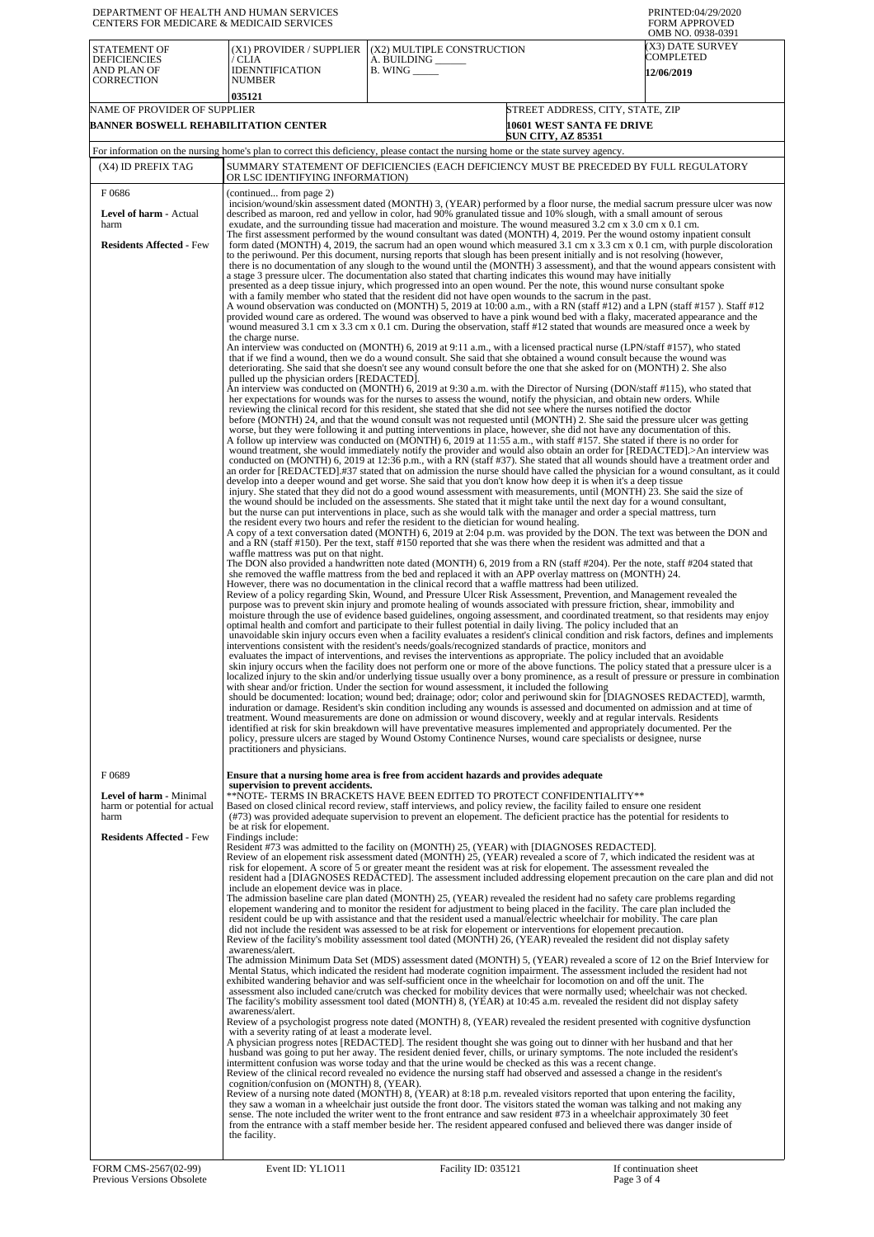| DEPARTMENT OF HEALTH AND HUMAN SERVICES<br>CENTERS FOR MEDICARE & MEDICAID SERVICES |                                                                                                                                                                                                                                                                                                                                                                                                                                                                                                                                                                                                                                                                                                                                                                                                                                                                                                                                                                                                                                                                                                                                                                                                                                                                                                                                                                                                                                                                                                                                                                                                                                                                                                                                                                                                                                                                                                                                                                                                                                                                                                                                                                                                                                                                                                                                                                                                                                                                                                                                                                                                                                                                                                                                                                                                                                                                                                                                                                                                                                                                                                                                                                                                                                                                                                                                                                                                                                                                                                                                                                                                                                                                                                                                                                                                                                                                                                                                                                                                                                                                                                                                                                                                                                                                                                                                                                                                                                                                                                                                                                        |                                                                                                                                                                                                                                                                                                                                                                                                                                                                                                                                                                                                                                                                                                                                                                                                                                                                                                                                                                                                                                                                                                                                                                                                                                                                                                                                                                                                                                                                                                                                                                                                                                                                                                                                                                                                                                                                                                                                                                                                                                                                                                                                                                                                                                                                                                                                                                                                                                                                                                                                                                                                                                                        | PRINTED:04/29/2020<br><b>FORM APPROVED</b><br>OMB NO. 0938-0391                                                                                                                                                                                                                                                                                                                                                                                                                                                                                                   |  |  |
|-------------------------------------------------------------------------------------|------------------------------------------------------------------------------------------------------------------------------------------------------------------------------------------------------------------------------------------------------------------------------------------------------------------------------------------------------------------------------------------------------------------------------------------------------------------------------------------------------------------------------------------------------------------------------------------------------------------------------------------------------------------------------------------------------------------------------------------------------------------------------------------------------------------------------------------------------------------------------------------------------------------------------------------------------------------------------------------------------------------------------------------------------------------------------------------------------------------------------------------------------------------------------------------------------------------------------------------------------------------------------------------------------------------------------------------------------------------------------------------------------------------------------------------------------------------------------------------------------------------------------------------------------------------------------------------------------------------------------------------------------------------------------------------------------------------------------------------------------------------------------------------------------------------------------------------------------------------------------------------------------------------------------------------------------------------------------------------------------------------------------------------------------------------------------------------------------------------------------------------------------------------------------------------------------------------------------------------------------------------------------------------------------------------------------------------------------------------------------------------------------------------------------------------------------------------------------------------------------------------------------------------------------------------------------------------------------------------------------------------------------------------------------------------------------------------------------------------------------------------------------------------------------------------------------------------------------------------------------------------------------------------------------------------------------------------------------------------------------------------------------------------------------------------------------------------------------------------------------------------------------------------------------------------------------------------------------------------------------------------------------------------------------------------------------------------------------------------------------------------------------------------------------------------------------------------------------------------------------------------------------------------------------------------------------------------------------------------------------------------------------------------------------------------------------------------------------------------------------------------------------------------------------------------------------------------------------------------------------------------------------------------------------------------------------------------------------------------------------------------------------------------------------------------------------------------------------------------------------------------------------------------------------------------------------------------------------------------------------------------------------------------------------------------------------------------------------------------------------------------------------------------------------------------------------------------------------------------------------------------------------------------------------------------------|--------------------------------------------------------------------------------------------------------------------------------------------------------------------------------------------------------------------------------------------------------------------------------------------------------------------------------------------------------------------------------------------------------------------------------------------------------------------------------------------------------------------------------------------------------------------------------------------------------------------------------------------------------------------------------------------------------------------------------------------------------------------------------------------------------------------------------------------------------------------------------------------------------------------------------------------------------------------------------------------------------------------------------------------------------------------------------------------------------------------------------------------------------------------------------------------------------------------------------------------------------------------------------------------------------------------------------------------------------------------------------------------------------------------------------------------------------------------------------------------------------------------------------------------------------------------------------------------------------------------------------------------------------------------------------------------------------------------------------------------------------------------------------------------------------------------------------------------------------------------------------------------------------------------------------------------------------------------------------------------------------------------------------------------------------------------------------------------------------------------------------------------------------------------------------------------------------------------------------------------------------------------------------------------------------------------------------------------------------------------------------------------------------------------------------------------------------------------------------------------------------------------------------------------------------------------------------------------------------------------------------------------------------|-------------------------------------------------------------------------------------------------------------------------------------------------------------------------------------------------------------------------------------------------------------------------------------------------------------------------------------------------------------------------------------------------------------------------------------------------------------------------------------------------------------------------------------------------------------------|--|--|
| <b>STATEMENT OF</b><br><b>DEFICIENCIES</b><br>AND PLAN OF<br><b>CORRECTION</b>      | (X1) PROVIDER / SUPPLIER<br>/ CLIA<br><b>IDENNTIFICATION</b><br><b>NUMBER</b>                                                                                                                                                                                                                                                                                                                                                                                                                                                                                                                                                                                                                                                                                                                                                                                                                                                                                                                                                                                                                                                                                                                                                                                                                                                                                                                                                                                                                                                                                                                                                                                                                                                                                                                                                                                                                                                                                                                                                                                                                                                                                                                                                                                                                                                                                                                                                                                                                                                                                                                                                                                                                                                                                                                                                                                                                                                                                                                                                                                                                                                                                                                                                                                                                                                                                                                                                                                                                                                                                                                                                                                                                                                                                                                                                                                                                                                                                                                                                                                                                                                                                                                                                                                                                                                                                                                                                                                                                                                                                          | (X2) MULTIPLE CONSTRUCTION<br>A. BUILDING ______<br>$B.$ WING $\_\_\_\_\_\_\_\$                                                                                                                                                                                                                                                                                                                                                                                                                                                                                                                                                                                                                                                                                                                                                                                                                                                                                                                                                                                                                                                                                                                                                                                                                                                                                                                                                                                                                                                                                                                                                                                                                                                                                                                                                                                                                                                                                                                                                                                                                                                                                                                                                                                                                                                                                                                                                                                                                                                                                                                                                                        | (X3) DATE SURVEY<br>COMPLETED<br><b>12/06/2019</b>                                                                                                                                                                                                                                                                                                                                                                                                                                                                                                                |  |  |
| NAME OF PROVIDER OF SUPPLIER                                                        | 035121                                                                                                                                                                                                                                                                                                                                                                                                                                                                                                                                                                                                                                                                                                                                                                                                                                                                                                                                                                                                                                                                                                                                                                                                                                                                                                                                                                                                                                                                                                                                                                                                                                                                                                                                                                                                                                                                                                                                                                                                                                                                                                                                                                                                                                                                                                                                                                                                                                                                                                                                                                                                                                                                                                                                                                                                                                                                                                                                                                                                                                                                                                                                                                                                                                                                                                                                                                                                                                                                                                                                                                                                                                                                                                                                                                                                                                                                                                                                                                                                                                                                                                                                                                                                                                                                                                                                                                                                                                                                                                                                                                 |                                                                                                                                                                                                                                                                                                                                                                                                                                                                                                                                                                                                                                                                                                                                                                                                                                                                                                                                                                                                                                                                                                                                                                                                                                                                                                                                                                                                                                                                                                                                                                                                                                                                                                                                                                                                                                                                                                                                                                                                                                                                                                                                                                                                                                                                                                                                                                                                                                                                                                                                                                                                                                                        | STREET ADDRESS, CITY, STATE, ZIP                                                                                                                                                                                                                                                                                                                                                                                                                                                                                                                                  |  |  |
| BANNER BOSWELL REHABILITATION CENTER                                                |                                                                                                                                                                                                                                                                                                                                                                                                                                                                                                                                                                                                                                                                                                                                                                                                                                                                                                                                                                                                                                                                                                                                                                                                                                                                                                                                                                                                                                                                                                                                                                                                                                                                                                                                                                                                                                                                                                                                                                                                                                                                                                                                                                                                                                                                                                                                                                                                                                                                                                                                                                                                                                                                                                                                                                                                                                                                                                                                                                                                                                                                                                                                                                                                                                                                                                                                                                                                                                                                                                                                                                                                                                                                                                                                                                                                                                                                                                                                                                                                                                                                                                                                                                                                                                                                                                                                                                                                                                                                                                                                                                        | <b>SUN CITY, AZ 85351</b>                                                                                                                                                                                                                                                                                                                                                                                                                                                                                                                                                                                                                                                                                                                                                                                                                                                                                                                                                                                                                                                                                                                                                                                                                                                                                                                                                                                                                                                                                                                                                                                                                                                                                                                                                                                                                                                                                                                                                                                                                                                                                                                                                                                                                                                                                                                                                                                                                                                                                                                                                                                                                              | 10601 WEST SANTA FE DRIVE                                                                                                                                                                                                                                                                                                                                                                                                                                                                                                                                         |  |  |
|                                                                                     |                                                                                                                                                                                                                                                                                                                                                                                                                                                                                                                                                                                                                                                                                                                                                                                                                                                                                                                                                                                                                                                                                                                                                                                                                                                                                                                                                                                                                                                                                                                                                                                                                                                                                                                                                                                                                                                                                                                                                                                                                                                                                                                                                                                                                                                                                                                                                                                                                                                                                                                                                                                                                                                                                                                                                                                                                                                                                                                                                                                                                                                                                                                                                                                                                                                                                                                                                                                                                                                                                                                                                                                                                                                                                                                                                                                                                                                                                                                                                                                                                                                                                                                                                                                                                                                                                                                                                                                                                                                                                                                                                                        | For information on the nursing home's plan to correct this deficiency, please contact the nursing home or the state survey agency.                                                                                                                                                                                                                                                                                                                                                                                                                                                                                                                                                                                                                                                                                                                                                                                                                                                                                                                                                                                                                                                                                                                                                                                                                                                                                                                                                                                                                                                                                                                                                                                                                                                                                                                                                                                                                                                                                                                                                                                                                                                                                                                                                                                                                                                                                                                                                                                                                                                                                                                     |                                                                                                                                                                                                                                                                                                                                                                                                                                                                                                                                                                   |  |  |
| (X4) ID PREFIX TAG                                                                  | SUMMARY STATEMENT OF DEFICIENCIES (EACH DEFICIENCY MUST BE PRECEDED BY FULL REGULATORY<br>OR LSC IDENTIFYING INFORMATION)                                                                                                                                                                                                                                                                                                                                                                                                                                                                                                                                                                                                                                                                                                                                                                                                                                                                                                                                                                                                                                                                                                                                                                                                                                                                                                                                                                                                                                                                                                                                                                                                                                                                                                                                                                                                                                                                                                                                                                                                                                                                                                                                                                                                                                                                                                                                                                                                                                                                                                                                                                                                                                                                                                                                                                                                                                                                                                                                                                                                                                                                                                                                                                                                                                                                                                                                                                                                                                                                                                                                                                                                                                                                                                                                                                                                                                                                                                                                                                                                                                                                                                                                                                                                                                                                                                                                                                                                                                              |                                                                                                                                                                                                                                                                                                                                                                                                                                                                                                                                                                                                                                                                                                                                                                                                                                                                                                                                                                                                                                                                                                                                                                                                                                                                                                                                                                                                                                                                                                                                                                                                                                                                                                                                                                                                                                                                                                                                                                                                                                                                                                                                                                                                                                                                                                                                                                                                                                                                                                                                                                                                                                                        |                                                                                                                                                                                                                                                                                                                                                                                                                                                                                                                                                                   |  |  |
| F0686<br>Level of harm - Actual<br>harm<br><b>Residents Affected - Few</b>          | (continued from page 2)<br>incision/wound/skin assessment dated (MONTH) 3, (YEAR) performed by a floor nurse, the medial sacrum pressure ulcer was now<br>described as maroon, red and yellow in color, had 90% granulated tissue and 10% slough, with a small amount of serous<br>exudate, and the surrounding tissue had maceration and moisture. The wound measured 3.2 cm x 3.0 cm x 0.1 cm.<br>The first assessment performed by the wound consultant was dated (MONTH) 4, 2019. Per the wound ostomy inpatient consult<br>form dated (MONTH) 4, 2019, the sacrum had an open wound which measured 3.1 cm x 3.3 cm x 0.1 cm, with purple discoloration<br>to the periwound. Per this document, nursing reports that slough has been present initially and is not resolving (however,<br>there is no documentation of any slough to the wound until the (MONTH) 3 assessment), and that the wound appears consistent with<br>a stage 3 pressure ulcer. The documentation also stated that charting indicates this wound may have initially<br>presented as a deep tissue injury, which progressed into an open wound. Per the note, this wound nurse consultant spoke<br>with a family member who stated that the resident did not have open wounds to the sacrum in the past.<br>A wound observation was conducted on (MONTH) 5, 2019 at 10:00 a.m., with a RN (staff #12) and a LPN (staff #157). Staff #12<br>provided wound care as ordered. The wound was observed to have a pink wound bed with a flaky, macerated appearance and the<br>wound measured 3.1 cm x 3.3 cm x 0.1 cm. During the observation, staff #12 stated that wounds are measured once a week by<br>the charge nurse.<br>An interview was conducted on (MONTH) 6, 2019 at 9:11 a.m., with a licensed practical nurse (LPN/staff #157), who stated<br>that if we find a wound, then we do a wound consult. She said that she obtained a wound consult because the wound was<br>deteriorating. She said that she doesn't see any wound consult before the one that she asked for on (MONTH) 2. She also<br>pulled up the physician orders [REDACTED].<br>An interview was conducted on (MONTH) 6, 2019 at 9:30 a.m. with the Director of Nursing (DON/staff #115), who stated that<br>her expectations for wounds was for the nurses to assess the wound, notify the physician, and obtain new orders. While<br>reviewing the clinical record for this resident, she stated that she did not see where the nurses notified the doctor<br>before (MONTH) 24, and that the wound consult was not requested until (MONTH) 2. She said the pressure ulcer was getting<br>worse, but they were following it and putting interventions in place, however, she did not have any documentation of this.<br>A follow up interview was conducted on (MONTH) 6, 2019 at 11:55 a.m., with staff #157. She stated if there is no order for<br>wound treatment, she would immediately notify the provider and would also obtain an order for [REDACTED].>An interview was<br>conducted on (MONTH) 6, 2019 at 12:36 p.m., with a RN (staff #37). She stated that all wounds should have a treatment order and<br>an order for [REDACTED].#37 stated that on admission the nurse should have called the physician for a wound consultant, as it could<br>develop into a deeper wound and get worse. She said that you don't know how deep it is when it's a deep tissue<br>injury. She stated that they did not do a good wound assessment with measurements, until (MONTH) 23. She said the size of<br>the wound should be included on the assessments. She stated that it might take until the next day for a wound consultant,<br>but the nurse can put interventions in place, such as she would talk with the manager and order a special mattress, turn<br>the resident every two hours and refer the resident to the dietician for wound healing.<br>A copy of a text conversation dated (MONTH) 6, 2019 at 2:04 p.m. was provided by the DON. The text was between the DON and<br>and a RN (staff #150). Per the text, staff #150 reported that she was there when the resident was admitted and that a<br>waffle mattress was put on that night.<br>The DON also provided a handwritten note dated (MONTH) 6, 2019 from a RN (staff #204). Per the note, staff #204 stated that<br>she removed the waffle mattress from the bed and replaced it with an APP overlay mattress on (MONTH) 24.<br>However, there was no documentation in the clinical record that a waffle mattress had been utilized. |                                                                                                                                                                                                                                                                                                                                                                                                                                                                                                                                                                                                                                                                                                                                                                                                                                                                                                                                                                                                                                                                                                                                                                                                                                                                                                                                                                                                                                                                                                                                                                                                                                                                                                                                                                                                                                                                                                                                                                                                                                                                                                                                                                                                                                                                                                                                                                                                                                                                                                                                                                                                                                                        |                                                                                                                                                                                                                                                                                                                                                                                                                                                                                                                                                                   |  |  |
| F0689<br>Level of harm - Minimal<br>harm or potential for actual<br>harm            | practitioners and physicians.<br>supervision to prevent accidents.                                                                                                                                                                                                                                                                                                                                                                                                                                                                                                                                                                                                                                                                                                                                                                                                                                                                                                                                                                                                                                                                                                                                                                                                                                                                                                                                                                                                                                                                                                                                                                                                                                                                                                                                                                                                                                                                                                                                                                                                                                                                                                                                                                                                                                                                                                                                                                                                                                                                                                                                                                                                                                                                                                                                                                                                                                                                                                                                                                                                                                                                                                                                                                                                                                                                                                                                                                                                                                                                                                                                                                                                                                                                                                                                                                                                                                                                                                                                                                                                                                                                                                                                                                                                                                                                                                                                                                                                                                                                                                     | Review of a policy regarding Skin, Wound, and Pressure Ulcer Risk Assessment, Prevention, and Management revealed the<br>purpose was to prevent skin injury and promote healing of wounds associated with pressure friction, shear, immobility and<br>optimal health and comfort and participate to their fullest potential in daily living. The policy included that an<br>interventions consistent with the resident's needs/goals/recognized standards of practice, monitors and<br>evaluates the impact of interventions, and revises the interventions as appropriate. The policy included that an avoidable<br>with shear and/or friction. Under the section for wound assessment, it included the following<br>should be documented: location; wound bed; drainage; odor; color and periwound skin for [DIAGNOSES REDACTED], warmth,<br>induration or damage. Resident's skin condition including any wounds is assessed and documented on admission and at time of<br>treatment. Wound measurements are done on admission or wound discovery, weekly and at regular intervals. Residents<br>identified at risk for skin breakdown will have preventative measures implemented and appropriately documented. Per the<br>policy, pressure ulcers are staged by Wound Ostomy Continence Nurses, wound care specialists or designee, nurse<br>Ensure that a nursing home area is free from accident hazards and provides adequate<br>**NOTE- TERMS IN BRACKETS HAVE BEEN EDITED TO PROTECT CONFIDENTIALITY**<br>Based on closed clinical record review, staff interviews, and policy review, the facility failed to ensure one resident<br>(#73) was provided adequate supervision to prevent an elopement. The deficient practice has the potential for residents to                                                                                                                                                                                                                                                                                                                                                                                                                                                                                                                                                                                                                                                                                                                                                                                                                                                                              | moisture through the use of evidence based guidelines, ongoing assessment, and coordinated treatment, so that residents may enjoy<br>unavoidable skin injury occurs even when a facility evaluates a resident's clinical condition and risk factors, defines and implements<br>skin injury occurs when the facility does not perform one or more of the above functions. The policy stated that a pressure ulcer is a<br>localized injury to the skin and/or underlying tissue usually over a bony prominence, as a result of pressure or pressure in combination |  |  |
| <b>Residents Affected - Few</b>                                                     | be at risk for elopement.<br>Findings include:<br>include an elopement device was in place.<br>awareness/alert.<br>awareness/alert.<br>with a severity rating of at least a moderate level.<br>cognition/confusion on (MONTH) 8, (YEAR).<br>the facility.                                                                                                                                                                                                                                                                                                                                                                                                                                                                                                                                                                                                                                                                                                                                                                                                                                                                                                                                                                                                                                                                                                                                                                                                                                                                                                                                                                                                                                                                                                                                                                                                                                                                                                                                                                                                                                                                                                                                                                                                                                                                                                                                                                                                                                                                                                                                                                                                                                                                                                                                                                                                                                                                                                                                                                                                                                                                                                                                                                                                                                                                                                                                                                                                                                                                                                                                                                                                                                                                                                                                                                                                                                                                                                                                                                                                                                                                                                                                                                                                                                                                                                                                                                                                                                                                                                              | Resident #73 was admitted to the facility on (MONTH) 25, (YEAR) with [DIAGNOSES REDACTED].<br>Review of an elopement risk assessment dated (MONTH) 25, (YEAR) revealed a score of 7, which indicated the resident was at<br>risk for elopement. A score of 5 or greater meant the resident was at risk for elopement. The assessment revealed the<br>The admission baseline care plan dated (MONTH) 25, (YEAR) revealed the resident had no safety care problems regarding<br>elopement wandering and to monitor the resident for adjustment to being placed in the facility. The care plan included the<br>resident could be up with assistance and that the resident used a manual/electric wheelchair for mobility. The care plan<br>did not include the resident was assessed to be at risk for elopement or interventions for elopement precaution.<br>Review of the facility's mobility assessment tool dated (MONTH) 26, (YEAR) revealed the resident did not display safety<br>Mental Status, which indicated the resident had moderate cognition impairment. The assessment included the resident had not<br>exhibited wandering behavior and was self-sufficient once in the wheelchair for locomotion on and off the unit. The<br>assessment also included cane/crutch was checked for mobility devices that were normally used; wheelchair was not checked.<br>The facility's mobility assessment tool dated (MONTH) 8, (YEAR) at 10:45 a.m. revealed the resident did not display safety<br>Review of a psychologist progress note dated (MONTH) 8, (YEAR) revealed the resident presented with cognitive dysfunction<br>A physician progress notes [REDACTED]. The resident thought she was going out to dinner with her husband and that her<br>husband was going to put her away. The resident denied fever, chills, or urinary symptoms. The note included the resident's<br>intermittent confusion was worse today and that the urine would be checked as this was a recent change.<br>Review of the clinical record revealed no evidence the nursing staff had observed and assessed a change in the resident's<br>Review of a nursing note dated (MONTH) 8, (YEAR) at 8:18 p.m. revealed visitors reported that upon entering the facility,<br>they saw a woman in a wheelchair just outside the front door. The visitors stated the woman was talking and not making any<br>sense. The note included the writer went to the front entrance and saw resident #73 in a wheelchair approximately 30 feet<br>from the entrance with a staff member beside her. The resident appeared confused and believed there was danger inside of | resident had a [DIAGNOSES REDACTED]. The assessment included addressing elopement precaution on the care plan and did not<br>The admission Minimum Data Set (MDS) assessment dated (MONTH) 5, (YEAR) revealed a score of 12 on the Brief Interview for                                                                                                                                                                                                                                                                                                            |  |  |
| FORM CMS-2567(02-99)<br>Previous Versions Obsolete                                  | Event ID: YL1011                                                                                                                                                                                                                                                                                                                                                                                                                                                                                                                                                                                                                                                                                                                                                                                                                                                                                                                                                                                                                                                                                                                                                                                                                                                                                                                                                                                                                                                                                                                                                                                                                                                                                                                                                                                                                                                                                                                                                                                                                                                                                                                                                                                                                                                                                                                                                                                                                                                                                                                                                                                                                                                                                                                                                                                                                                                                                                                                                                                                                                                                                                                                                                                                                                                                                                                                                                                                                                                                                                                                                                                                                                                                                                                                                                                                                                                                                                                                                                                                                                                                                                                                                                                                                                                                                                                                                                                                                                                                                                                                                       | Facility ID: 035121                                                                                                                                                                                                                                                                                                                                                                                                                                                                                                                                                                                                                                                                                                                                                                                                                                                                                                                                                                                                                                                                                                                                                                                                                                                                                                                                                                                                                                                                                                                                                                                                                                                                                                                                                                                                                                                                                                                                                                                                                                                                                                                                                                                                                                                                                                                                                                                                                                                                                                                                                                                                                                    | If continuation sheet<br>Page 3 of 4                                                                                                                                                                                                                                                                                                                                                                                                                                                                                                                              |  |  |